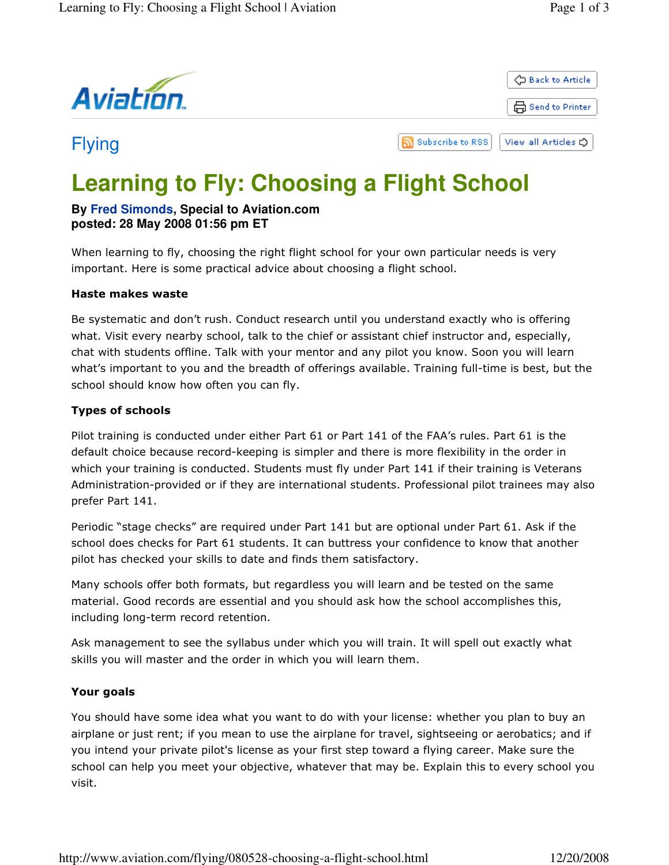



# Flying

ה **Subscribe to RSS** View all Articles C

# **Learning to Fly: Choosing a Flight School**

### **By Fred Simonds, Special to Aviation.com posted: 28 May 2008 01:56 pm ET**

When learning to fly, choosing the right flight school for your own particular needs is very important. Here is some practical advice about choosing a flight school.

#### Haste makes waste

Be systematic and don't rush. Conduct research until you understand exactly who is offering what. Visit every nearby school, talk to the chief or assistant chief instructor and, especially, chat with students offline. Talk with your mentor and any pilot you know. Soon you will learn what's important to you and the breadth of offerings available. Training full-time is best, but the school should know how often you can fly.

### Types of schools

Pilot training is conducted under either Part 61 or Part 141 of the FAA's rules. Part 61 is the default choice because record-keeping is simpler and there is more flexibility in the order in which your training is conducted. Students must fly under Part 141 if their training is Veterans Administration-provided or if they are international students. Professional pilot trainees may also prefer Part 141.

Periodic "stage checks" are required under Part 141 but are optional under Part 61. Ask if the school does checks for Part 61 students. It can buttress your confidence to know that another pilot has checked your skills to date and finds them satisfactory.

Many schools offer both formats, but regardless you will learn and be tested on the same material. Good records are essential and you should ask how the school accomplishes this, including long-term record retention.

Ask management to see the syllabus under which you will train. It will spell out exactly what skills you will master and the order in which you will learn them.

## Your goals

You should have some idea what you want to do with your license: whether you plan to buy an airplane or just rent; if you mean to use the airplane for travel, sightseeing or aerobatics; and if you intend your private pilot's license as your first step toward a flying career. Make sure the school can help you meet your objective, whatever that may be. Explain this to every school you visit.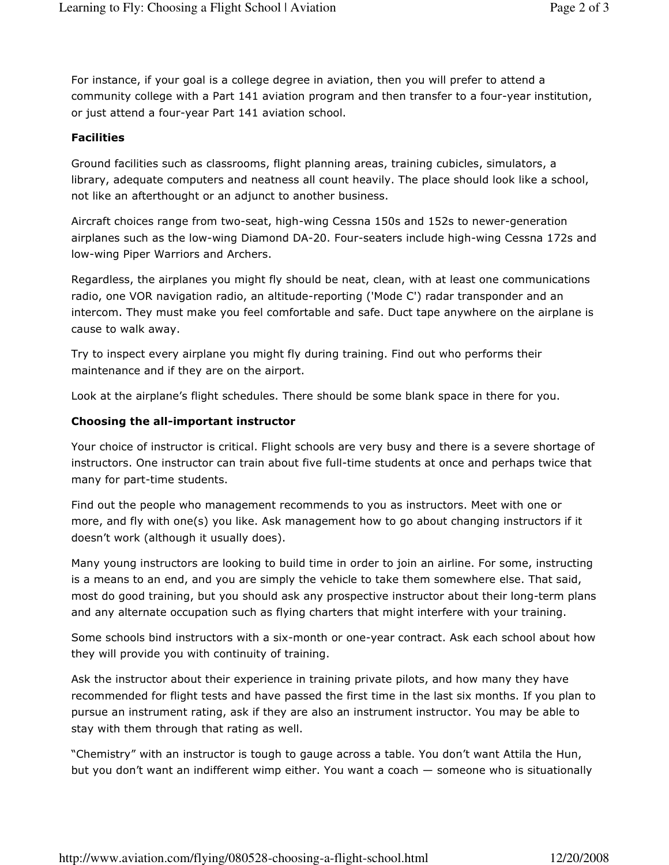For instance, if your goal is a college degree in aviation, then you will prefer to attend a community college with a Part 141 aviation program and then transfer to a four-year institution, or just attend a four-year Part 141 aviation school.

#### **Facilities**

Ground facilities such as classrooms, flight planning areas, training cubicles, simulators, a library, adequate computers and neatness all count heavily. The place should look like a school, not like an afterthought or an adjunct to another business.

Aircraft choices range from two-seat, high-wing Cessna 150s and 152s to newer-generation airplanes such as the low-wing Diamond DA-20. Four-seaters include high-wing Cessna 172s and low-wing Piper Warriors and Archers.

Regardless, the airplanes you might fly should be neat, clean, with at least one communications radio, one VOR navigation radio, an altitude-reporting ('Mode C') radar transponder and an intercom. They must make you feel comfortable and safe. Duct tape anywhere on the airplane is cause to walk away.

Try to inspect every airplane you might fly during training. Find out who performs their maintenance and if they are on the airport.

Look at the airplane's flight schedules. There should be some blank space in there for you.

#### Choosing the all-important instructor

Your choice of instructor is critical. Flight schools are very busy and there is a severe shortage of instructors. One instructor can train about five full-time students at once and perhaps twice that many for part-time students.

Find out the people who management recommends to you as instructors. Meet with one or more, and fly with one(s) you like. Ask management how to go about changing instructors if it doesn't work (although it usually does).

Many young instructors are looking to build time in order to join an airline. For some, instructing is a means to an end, and you are simply the vehicle to take them somewhere else. That said, most do good training, but you should ask any prospective instructor about their long-term plans and any alternate occupation such as flying charters that might interfere with your training.

Some schools bind instructors with a six-month or one-year contract. Ask each school about how they will provide you with continuity of training.

Ask the instructor about their experience in training private pilots, and how many they have recommended for flight tests and have passed the first time in the last six months. If you plan to pursue an instrument rating, ask if they are also an instrument instructor. You may be able to stay with them through that rating as well.

"Chemistry" with an instructor is tough to gauge across a table. You don't want Attila the Hun, but you don't want an indifferent wimp either. You want a coach — someone who is situationally